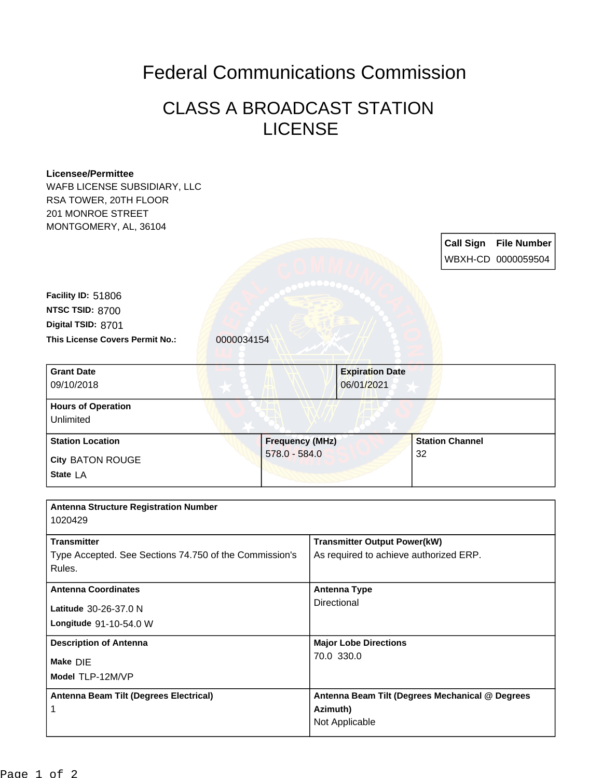## Federal Communications Commission

## CLASS A BROADCAST STATION LICENSE

| <b>Licensee/Permittee</b>                              |                        |  |                                            |                                                 |    |                        |                    |
|--------------------------------------------------------|------------------------|--|--------------------------------------------|-------------------------------------------------|----|------------------------|--------------------|
| WAFB LICENSE SUBSIDIARY, LLC                           |                        |  |                                            |                                                 |    |                        |                    |
| RSA TOWER, 20TH FLOOR                                  |                        |  |                                            |                                                 |    |                        |                    |
| 201 MONROE STREET                                      |                        |  |                                            |                                                 |    |                        |                    |
| MONTGOMERY, AL, 36104                                  |                        |  |                                            |                                                 |    |                        |                    |
|                                                        |                        |  |                                            |                                                 |    | <b>Call Sign</b>       | <b>File Number</b> |
|                                                        |                        |  |                                            |                                                 |    |                        | WBXH-CD 0000059504 |
|                                                        |                        |  |                                            |                                                 |    |                        |                    |
|                                                        |                        |  |                                            |                                                 |    |                        |                    |
| Facility ID: 51806                                     |                        |  |                                            |                                                 |    |                        |                    |
| NTSC TSID: 8700                                        |                        |  |                                            |                                                 |    |                        |                    |
| Digital TSID: 8701                                     |                        |  |                                            |                                                 |    |                        |                    |
| This License Covers Permit No.:                        | 0000034154             |  |                                            |                                                 |    |                        |                    |
|                                                        |                        |  |                                            |                                                 |    |                        |                    |
| <b>Grant Date</b>                                      |                        |  |                                            | <b>Expiration Date</b>                          |    |                        |                    |
| 09/10/2018                                             |                        |  |                                            | 06/01/2021                                      |    |                        |                    |
| <b>Hours of Operation</b>                              |                        |  |                                            |                                                 |    |                        |                    |
| Unlimited                                              |                        |  |                                            |                                                 |    |                        |                    |
| <b>Station Location</b>                                | <b>Frequency (MHz)</b> |  |                                            |                                                 |    | <b>Station Channel</b> |                    |
|                                                        | $578.0 - 584.0$        |  |                                            |                                                 | 32 |                        |                    |
| <b>City BATON ROUGE</b>                                |                        |  |                                            |                                                 |    |                        |                    |
| State LA                                               |                        |  |                                            |                                                 |    |                        |                    |
|                                                        |                        |  |                                            |                                                 |    |                        |                    |
| <b>Antenna Structure Registration Number</b>           |                        |  |                                            |                                                 |    |                        |                    |
| 1020429                                                |                        |  |                                            |                                                 |    |                        |                    |
| <b>Transmitter</b>                                     |                        |  |                                            | <b>Transmitter Output Power(kW)</b>             |    |                        |                    |
| Type Accepted. See Sections 74.750 of the Commission's |                        |  | As required to achieve authorized ERP.     |                                                 |    |                        |                    |
| Rules.                                                 |                        |  |                                            |                                                 |    |                        |                    |
| <b>Antenna Coordinates</b>                             |                        |  | <b>Antenna Type</b>                        |                                                 |    |                        |                    |
| Latitude 30-26-37.0 N                                  |                        |  | Directional                                |                                                 |    |                        |                    |
|                                                        |                        |  |                                            |                                                 |    |                        |                    |
| Longitude 91-10-54.0 W                                 |                        |  |                                            |                                                 |    |                        |                    |
| <b>Description of Antenna</b><br>Make DIE              |                        |  | <b>Major Lobe Directions</b><br>70.0 330.0 |                                                 |    |                        |                    |
|                                                        |                        |  |                                            |                                                 |    |                        |                    |
| Antenna Beam Tilt (Degrees Electrical)                 |                        |  |                                            | Antenna Beam Tilt (Degrees Mechanical @ Degrees |    |                        |                    |
| 1                                                      |                        |  | Azimuth)                                   |                                                 |    |                        |                    |
|                                                        |                        |  |                                            | Not Applicable                                  |    |                        |                    |
|                                                        |                        |  |                                            |                                                 |    |                        |                    |